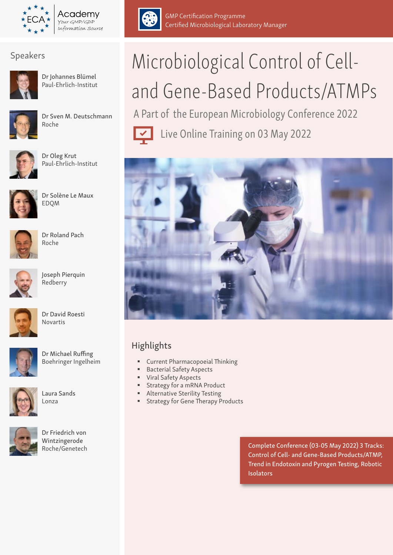

Academv Your GMP/GDP Information Source



Dr Johannes Blümel Paul-Ehrlich-Institut



Dr Sven M. Deutschmann Roche



Dr Oleg Krut Paul-Ehrlich-Institut



Dr Solène Le Maux EDQM



Dr Roland Pach Roche



Joseph Pierquin Redberry



Dr David Roesti Novartis



Dr Michael Ruffing Boehringer Ingelheim



Laura Sands Lonza



Dr Friedrich von Wintzingerode Roche/Genetech



GMP Certification Programme Certified Microbiological Laboratory Manager

# Speakers Microbiological Control of Celland Gene-Based Products/ATMPs

A Part of the European Microbiology Conference 2022

Live Online Training on 03 May 2022



# Highlights

- Current Pharmacopoeial Thinking
- Bacterial Safety Aspects
- Viral Safety Aspects
- **Strategy for a mRNA Product**
- **Alternative Sterility Testing**
- **Strategy for Gene Therapy Products**

Complete Conference (03-05 May 2022) 3 Tracks: Control of Cell- and Gene-Based Products/ATMP, Trend in Endotoxin and Pyrogen Testing, Robotic **Isolators**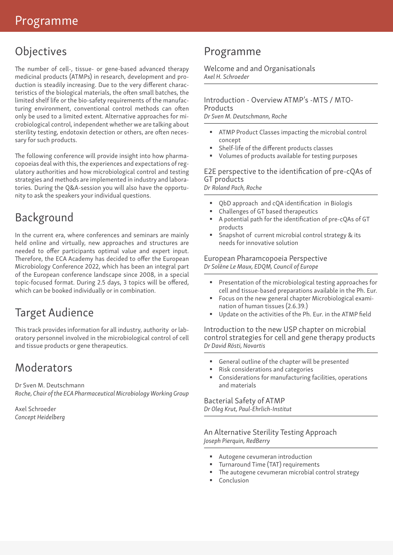# **Objectives**

The number of cell-, tissue- or gene-based advanced therapy medicinal products (ATMPs) in research, development and production is steadily increasing. Due to the very different characteristics of the biological materials, the often small batches, the limited shelf life or the bio-safety requirements of the manufacturing environment, conventional control methods can often only be used to a limited extent. Alternative approaches for microbiological control, independent whether we are talking about sterility testing, endotoxin detection or others, are often necessary for such products.

The following conference will provide insight into how pharmacopoeias deal with this, the experiences and expectations of regulatory authorities and how microbiological control and testing strategies and methods are implemented in industry and laboratories. During the Q&A-session you will also have the opportunity to ask the speakers your individual questions.

# Background

In the current era, where conferences and seminars are mainly held online and virtually, new approaches and structures are needed to offer participants optimal value and expert input. Therefore, the ECA Academy has decided to offer the European Microbiology Conference 2022, which has been an integral part of the European conference landscape since 2008, in a special topic-focused format. During 2.5 days, 3 topics will be offered, which can be booked individually or in combination.

# Target Audience

This track provides information for all industry, authority or laboratory personnel involved in the microbiological control of cell and tissue products or gene therapeutics.

# **Moderators**

Dr Sven M. Deutschmann *Roche, Chair of the ECA Pharmaceutical Microbiology Working Group* 

Axel Schroeder *Concept Heidelberg*

# Programme

Welcome and and Organisationals *Axel H. Schroeder*

Introduction - Overview ATMP's -MTS / MTO-Products

*Dr Sven M. Deutschmann, Roche*

- ATMP Product Classes impacting the microbial control concept
- Shelf-life of the different products classes
- Volumes of products available for testing purposes

# E2E perspective to the identification of pre-cQAs of GT products

*Dr Roland Pach, Roche*

- QbD approach and cQA identification in Biologis
- Challenges of GT based therapeutics
- A potential path for the identification of pre-cQAs of GT products
- Snapshot of current microbial control strategy & its needs for innovative solution

# European Pharamcopoeia Perspective *Dr Solène Le Maux, EDQM, Council of Europe*

- Presentation of the microbiological testing approaches for cell and tissue-based preparations available in the Ph. Eur.
- Focus on the new general chapter Microbiological examination of human tissues (2.6.39.)
- Update on the activities of the Ph. Eur. in the ATMP field

Introduction to the new USP chapter on microbial control strategies for cell and gene therapy products *Dr David Rösti, Novartis*

- General outline of the chapter will be presented
- Risk considerations and categories
- Considerations for manufacturing facilities, operations and materials

# Bacterial Safety of ATMP *Dr Oleg Krut, Paul-Ehrlich-Institut*

# An Alternative Sterility Testing Approach *Joseph Pierquin, RedBerry*

- Autogene cevumeran introduction
- **Turnaround Time (TAT) requirements**
- The autogene cevumeran microbial control strategy
- Conclusion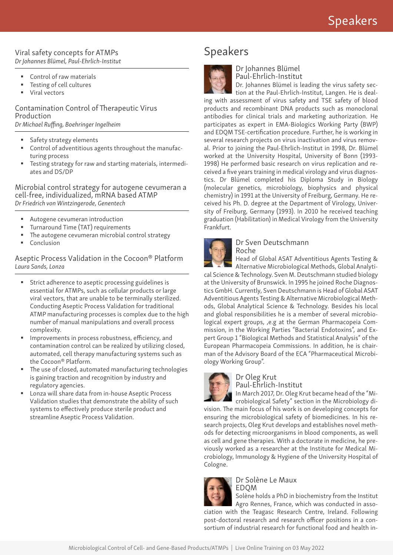### Viral safety concepts for ATMPs *Dr Johannes Blümel, Paul-Ehrlich-Institut*

- Control of raw materials
- Testing of cell cultures
- Viral vectors

Contamination Control of Therapeutic Virus Production *Dr Michael Ruffing, Boehringer Ingelheim*

- Safety strategy elements
- Control of adventitious agents throughout the manufacturing process
- Testing strategy for raw and starting materials, intermediates and DS/DP

Microbial control strategy for autogene cevumeran a cell-free, individualized, mRNA based ATMP *Dr Friedrich von Wintzingerode, Genentech*

- **Autogene cevumeran introduction**
- **Turnaround Time (TAT) requirements**
- The autogene cevumeran microbial control strategy
- Conclusion

Aseptic Process Validation in the Cocoon® Platform *Laura Sands, Lonza* 

- Strict adherence to aseptic processing guidelines is essential for ATMPs, such as cellular products or large viral vectors, that are unable to be terminally sterilized. Conducting Aseptic Process Validation for traditional ATMP manufacturing processes is complex due to the high number of manual manipulations and overall process complexity.
- Improvements in process robustness, efficiency, and contamination control can be realized by utilizing closed, automated, cell therapy manufacturing systems such as the Cocoon® Platform.
- The use of closed, automated manufacturing technologies is gaining traction and recognition by industry and regulatory agencies.
- Lonza will share data from in-house Aseptic Process Validation studies that demonstrate the ability of such systems to effectively produce sterile product and streamline Aseptic Process Validation.

# Speakers



Dr Johannes Blümel Paul-Ehrlich-Institut

Dr. Johannes Blümel is leading the virus safety sec-

tion at the Paul-Ehrlich-Institut, Langen. He is dealing with assessment of virus safety and TSE safety of blood products and recombinant DNA products such as monoclonal antibodies for clinical trials and marketing authorization. He participates as expert in EMA-Biologics Working Party (BWP) and EDQM TSE-certification procedure. Further, he is working in several research projects on virus inactivation and virus removal. Prior to joining the Paul-Ehrlich-Institut in 1998, Dr. Blümel worked at the University Hospital, University of Bonn (1993- 1998) He performed basic research on virus replication and received a five years training in medical virology and virus diagnostics. Dr Blümel completed his Diploma Study in Biology (molecular genetics, microbiology, biophysics and physical chemistry) in 1991 at the University of Freiburg, Germany. He received his Ph. D. degree at the Department of Virology, University of Freiburg, Germany (1993). In 2010 he received teaching graduation (Habilitation) in Medical Virology from the University Frankfurt.



### Dr Sven Deutschmann Roche

Head of Global ASAT Adventitious Agents Testing & Alternative Microbiological Methods, Global Analyti-

cal Science & Technology. Sven M. Deutschmann studied biology at the University of Brunswick. In 1995 he joined Roche Diagnostics GmbH. Currently, Sven Deutschmann is Head of Global ASAT Adventitious Agents Testing & Alternative Microbiological Methods, Global Analytical Science & Technology. Besides his local and global responsibilities he is a member of several microbiological expert groups, ,e.g at the German Pharmacopeia Commission, in the Working Parties "Bacterial Endotoxins", and Expert Group 1 "Biological Methods and Statistical Analysis" of the European Pharmacopeia Commissions. In addition, he is chairman of the Advisory Board of the ECA "Pharmaceutical Microbiology Working Group".



### Dr Oleg Krut Paul-Ehrlich-Institut

In March 2017, Dr. Oleg Krut became head of the "Mi-

crobiological Safety" section in the Microbiology division. The main focus of his work is on developing concepts for

ensuring the microbiological safety of biomedicines. In his research projects, Oleg Krut develops and establishes novel methods for detecting microorganisms in blood components, as well as cell and gene therapies. With a doctorate in medicine, he previously worked as a researcher at the Institute for Medical Microbiology, Immunology & Hygiene of the University Hospital of Cologne.



Dr Solène Le Maux EDQM

Solène holds a PhD in biochemistry from the Institut Agro Rennes, France, which was conducted in association with the Teagasc Research Centre, Ireland. Following post-doctoral research and research officer positions in a con-

sortium of industrial research for functional food and health in-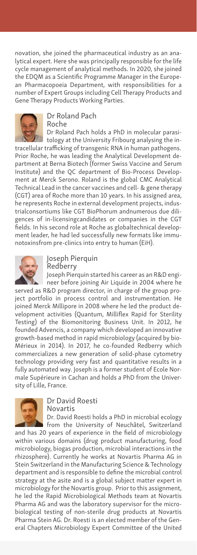novation, she joined the pharmaceutical industry as an analytical expert. Here she was principally responsible for the life cycle management of analytical methods. In 2020, she joined the EDQM as a Scientific Programme Manager in the European Pharmacopoeia Department, with responsibilities for a number of Expert Groups including Cell Therapy Products and Gene Therapy Products Working Parties.



Dr Roland Pach Roche

Dr Roland Pach holds a PhD in molecular parasitology at the University Fribourg analysing the in-

tracellular trafficking of transgenic RNA in human pathogens. Prior Roche, he was leading the Analytical Development department at Berna Biotech (former Swiss Vaccine and Serum Institute) and the QC department of Bio-Process Development at Merck Serono. Roland is the global CMC Analytical Technical Lead in the cancer vaccines and cell- & gene therapy (CGT) area of Roche more than 10 years. In his assigned area, he represents Roche in external development projects, industrialconsortiums like CGT BioPhorum andnumerous due diligences of in-licensingcandidates or companies in the CGT fields. In his second role at Roche as globaltechnical development leader, he had led successfully new formats like immunotoxinsfrom pre-clinics into entry to human (EiH).



Joseph Pierquin Redberry

Joseph Pierquin started his career as an R&D engineer before joining Air Liquide in 2004 where he

served as R&D program director, in charge of the group project portfolio in process control and instrumentation. He joined Merck Millipore in 2008 where he led the product development activities (Quantum, Milliflex Rapid for Sterility Testing) of the Biomonitoring Business Unit. In 2012, he founded Advencis, a company which developed an innovative growth-based method in rapid microbiology (acquired by bio-Mérieux in 2014). In 2017, he co-founded Redberry which commercializes a new generation of solid-phase cytometry technology providing very fast and quantitative results in a fully automated way. Joseph is a former student of Ecole Normale Supérieure in Cachan and holds a PhD from the University of Lille, France.



Dr David Roesti Novartis

Dr. David Roesti holds a PhD in microbial ecology from the University of Neuchâtel, Switzerland

and has 20 years of experience in the field of microbiology within various domains (drug product manufacturing, food microbiology, biogas production, microbial interactions in the rhizosphere). Currently he works at Novartis Pharma AG in Stein Switzerland in the Manufacturing Science & Technology department and is responsible to define the microbial control strategy at the asite and is a global subject matter expert in microbiology for the Novartis group. Prior to this assignment, he led the Rapid Microbiological Methods team at Novartis Pharma AG and was the laboratory supervisor for the microbiological testing of non-sterile drug products at Novartis Pharma Stein AG. Dr. Roesti is an elected member of the General Chapters Microbiology Expert Committee of the United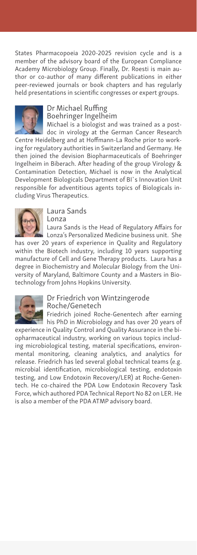States Pharmacopoeia 2020-2025 revision cycle and is a member of the advisory board of the European Compliance Academy Microbiology Group. Finally, Dr. Roesti is main author or co-author of many different publications in either peer-reviewed journals or book chapters and has regularly held presentations in scientific congresses or expert groups.



# Dr Michael Ruffing Boehringer Ingelheim

Michael is a biologist and was trained as a postdoc in virology at the German Cancer Research Centre Heidelberg and at Hoffmann-La Roche prior to working for regulatory authorities in Switzerland and Germany. He then joined the devision Biopharmaceuticals of Boehringer Ingelheim in Biberach. After heading of the group Virology & Contamination Detection, Michael is now in the Analytical Development Biologicals Department of BI`s Innovation Unit responsible for adventitious agents topics of Biologicals including Virus Therapeutics.



Laura Sands Lonza

Laura Sands is the Head of Regulatory Affairs for Lonza's Personalized Medicine business unit. She

has over 20 years of experience in Quality and Regulatory within the Biotech industry, including 10 years supporting manufacture of Cell and Gene Therapy products. Laura has a degree in Biochemistry and Molecular Biology from the University of Maryland, Baltimore County and a Masters in Biotechnology from Johns Hopkins University.



# Dr Friedrich von Wintzingerode Roche/Genetech

Friedrich joined Roche-Genentech after earning his PhD in Microbiology and has over 20 years of

experience in Quality Control and Quality Assurance in the biopharmaceutical industry, working on various topics including microbiological testing, material specifications, environmental monitoring, cleaning analytics, and analytics for release. Friedrich has led several global technical teams (e.g. microbial identification, microbiological testing, endotoxin testing, and Low Endotoxin Recovery/LER) at Roche-Genentech. He co-chaired the PDA Low Endotoxin Recovery Task Force, which authored PDA Technical Report No 82 on LER. He is also a member of the PDA ATMP advisory board.